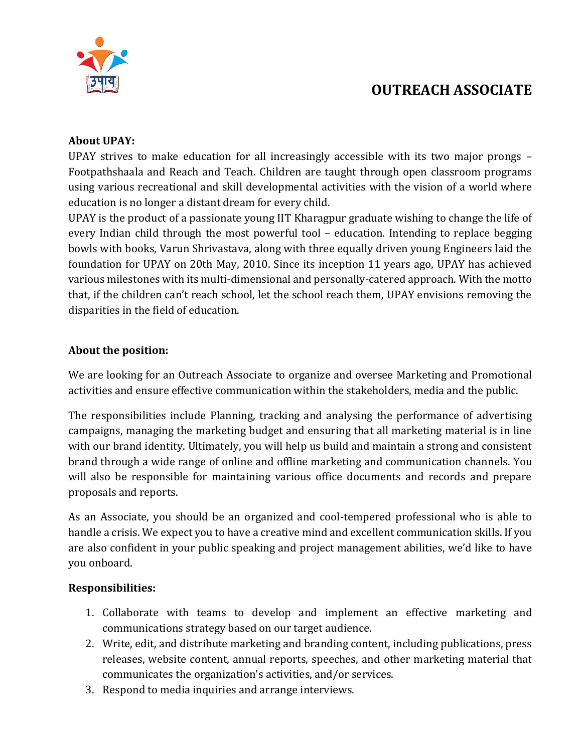

# **OUTREACH ASSOCIATE**

### **About UPAY:**

UPAY strives to make education for all increasingly accessible with its two major prongs – Footpathshaala and Reach and Teach. Children are taught through open classroom programs using various recreational and skill developmental activities with the vision of a world where education is no longer a distant dream for every child.

UPAY is the product of a passionate young IIT Kharagpur graduate wishing to change the life of every Indian child through the most powerful tool – education. Intending to replace begging bowls with books, Varun Shrivastava, along with three equally driven young Engineers laid the foundation for UPAY on 20th May, 2010. Since its inception 11 years ago, UPAY has achieved various milestones with its multi-dimensional and personally-catered approach. With the motto that, if the children can't reach school, let the school reach them, UPAY envisions removing the disparities in the field of education.

#### **About the position:**

We are looking for an Outreach Associate to organize and oversee Marketing and Promotional activities and ensure effective communication within the stakeholders, media and the public.

The responsibilities include Planning, tracking and analysing the performance of advertising campaigns, managing the marketing budget and ensuring that all marketing material is in line with our brand identity. Ultimately, you will help us build and maintain a strong and consistent brand through a wide range of online and offline marketing and communication channels. You will also be responsible for maintaining various office documents and records and prepare proposals and reports.

As an Associate, you should be an organized and cool-tempered professional who is able to handle a crisis. We expect you to have a creative mind and excellent communication skills. If you are also confident in your public speaking and project management abilities, we'd like to have you onboard.

#### **Responsibilities:**

- 1. Collaborate with teams to develop and implement an effective marketing and communications strategy based on our target audience.
- 2. Write, edit, and distribute marketing and branding content, including publications, press releases, website content, annual reports, speeches, and other marketing material that communicates the organization's activities, and/or services.
- 3. Respond to media inquiries and arrange interviews.